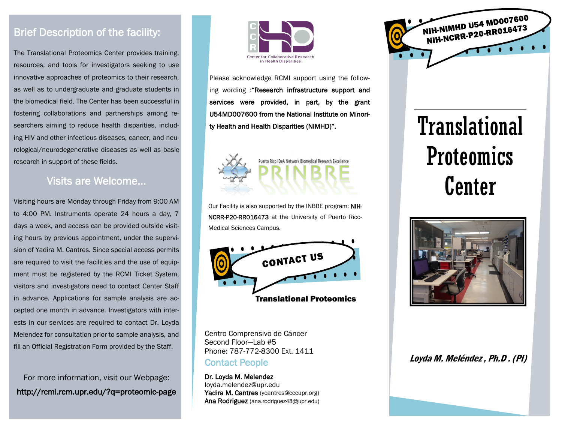#### Brief Description of the facility:

The Translational Proteomics Center provides training, resources, and tools for investigators seeking to use innovative approaches of proteomics to their research, as well as to undergraduate and graduate students in the biomedical field. The Center has been successful in fostering collaborations and partnerships among researchers aiming to reduce health disparities, including HIV and other infectious diseases, cancer, and neurological/neurodegenerative diseases as well as basic research in support of these fields.

#### Visits are Welcome...

Visiting hours are Monday through Friday from 9:00 AM to 4:00 PM. Instruments operate 24 hours a day, 7 days a week, and access can be provided outside visiting hours by previous appointment, under the supervision of Yadira M. Cantres. Since special access permits are required to visit the facilities and the use of equipment must be registered by the RCMI Ticket System, visitors and investigators need to contact Center Staff in advance. Applications for sample analysis are accepted one month in advance. Investigators with interests in our services are required to contact Dr. Loyda Melendez for consultation prior to sample analysis, and fill an Official Registration Form provided by the Staff.

For more information, visit our Webpage: http://rcmi.rcm.upr.edu/?q=proteomic-page



Please acknowledge RCMI support using the following wording : "Research infrastructure support and services were provided, in part, by the grant U54MD007600 from the National Institute on Minority Health and Health Disparities (NIMHD)".



Our Facility is also supported by the INBRE program: NIH-NCRR-P20-RR016473 at the University of Puerto Rico-Medical Sciences Campus.



Centro Comprensivo de Cáncer Second Floor—Lab #5 Phone: 787-772-8300 Ext. 1411 Contact People:

Dr. Loyda M. Melendez loyda.melendez@upr.edu Yadira M. Cantres (ycantres@cccupr.org) Ana Rodriguez (ana.rodriguez48@upr.edu)



# **Translational** Proteomics Center



#### Loyda M. Meléndez , Ph.D . (PI)